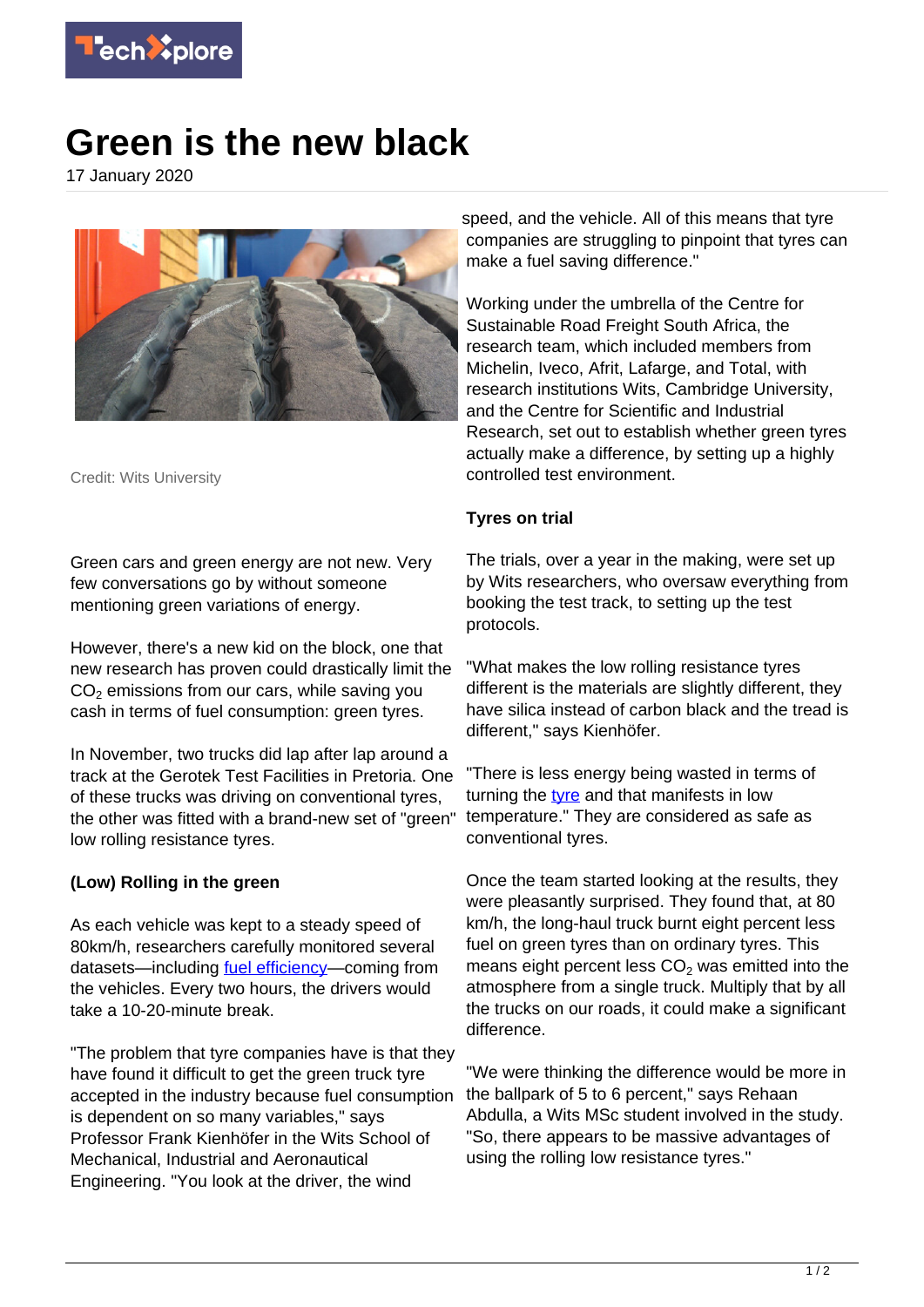

## **Green is the new black**

17 January 2020



Credit: Wits University

Green cars and green energy are not new. Very few conversations go by without someone mentioning green variations of energy.

However, there's a new kid on the block, one that new research has proven could drastically limit the  $\mathsf{CO}_2$  emissions from our cars, while saving you cash in terms of fuel consumption: green tyres.

In November, two trucks did lap after lap around a track at the Gerotek Test Facilities in Pretoria. One of these trucks was driving on conventional tyres, the other was fitted with a brand-new set of "green" low rolling resistance tyres.

## **(Low) Rolling in the green**

As each vehicle was kept to a steady speed of 80km/h, researchers carefully monitored several datasets—including <u>fuel efficiency</u>—coming from the vehicles. Every two hours, the drivers would take a 10-20-minute break.

"The problem that tyre companies have is that they have found it difficult to get the green truck tyre accepted in the industry because fuel consumption is dependent on so many variables," says Professor Frank Kienhöfer in the Wits School of Mechanical, Industrial and Aeronautical Engineering. "You look at the driver, the wind

speed, and the vehicle. All of this means that tyre companies are struggling to pinpoint that tyres can make a fuel saving difference."

Working under the umbrella of the Centre for Sustainable Road Freight South Africa, the research team, which included members from Michelin, Iveco, Afrit, Lafarge, and Total, with research institutions Wits, Cambridge University, and the Centre for Scientific and Industrial Research, set out to establish whether green tyres actually make a difference, by setting up a highly controlled test environment.

## **Tyres on trial**

The trials, over a year in the making, were set up by Wits researchers, who oversaw everything from booking the test track, to setting up the test protocols.

"What makes the low rolling resistance tyres different is the materials are slightly different, they have silica instead of carbon black and the tread is different," says Kienhöfer.

"There is less energy being wasted in terms of turning the [tyre](https://techxplore.com/tags/tyre/) and that manifests in low temperature." They are considered as safe as conventional tyres.

Once the team started looking at the results, they were pleasantly surprised. They found that, at 80 km/h, the long-haul truck burnt eight percent less fuel on green tyres than on ordinary tyres. This means eight percent less  $CO<sub>2</sub>$  was emitted into the atmosphere from a single truck. Multiply that by all the trucks on our roads, it could make a significant difference.

"We were thinking the difference would be more in the ballpark of 5 to 6 percent," says Rehaan Abdulla, a Wits MSc student involved in the study. "So, there appears to be massive advantages of using the rolling low resistance tyres."